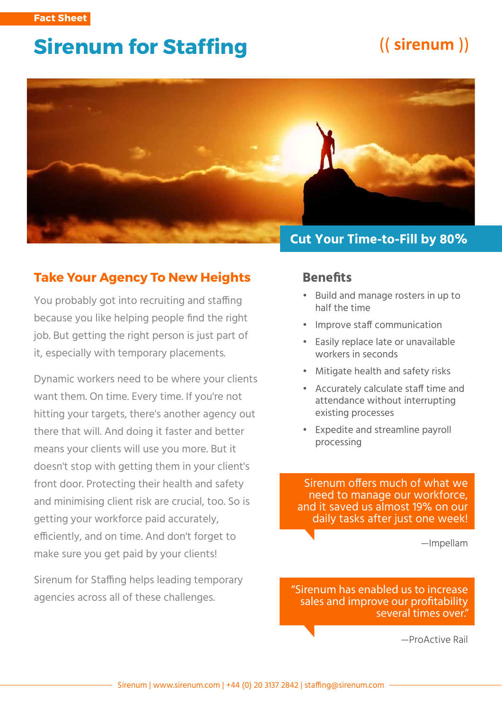# **Sirenum for Staffing**

# ((sirenum))



### **Take Your Agency To New Heights**

You probably got into recruiting and staffing because you like helping people find the right job. But getting the right person is just part of it, especially with temporary placements.

Dynamic workers need to be where your clients want them. On time. Every time. If you're not hitting your targets, there's another agency out there that will. And doing it faster and better means your clients will use you more. But it doesn't stop with getting them in your client's front door. Protecting their health and safety and minimising client risk are crucial, too. So is getting your workforce paid accurately, efficiently, and on time. And don't forget to make sure you get paid by your clients!

Sirenum for Staffing helps leading temporary agencies across all of these challenges.

#### **Benefits**

- Build and manage rosters in up to half the time
- Improve staff communication
- Easily replace late or unavailable workers in seconds
- Mitigate health and safety risks
- Accurately calculate staff time and attendance without interrupting existing processes
- Expedite and streamline payroll processing

Sirenum offers much of what we need to manage our workforce, and it saved us almost 19% on our daily tasks after just one week!

—Impellam

**"Sirenum has enabled us to increase sales and improve our protability several times over."** 

—ProActive Rail